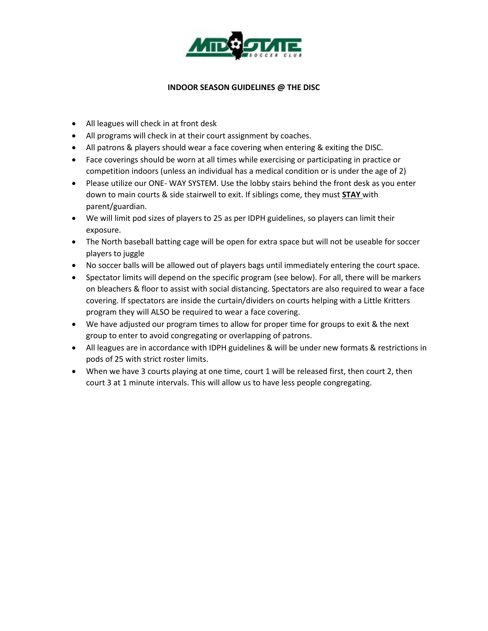

### **INDOOR SEASON GUIDELINES @ THE DISC**

- All leagues will check in at front desk
- All programs will check in at their court assignment by coaches.
- All patrons & players should wear a face covering when entering & exiting the DISC.
- Face coverings should be worn at all times while exercising or participating in practice or competition indoors (unless an individual has a medical condition or is under the age of 2)
- Please utilize our ONE- WAY SYSTEM. Use the lobby stairs behind the front desk as you enter down to main courts & side stairwell to exit. If siblings come, they must **STAY** with parent/guardian.
- We will limit pod sizes of players to 25 as per IDPH guidelines, so players can limit their exposure.
- The North baseball batting cage will be open for extra space but will not be useable for soccer players to juggle
- No soccer balls will be allowed out of players bags until immediately entering the court space.
- Spectator limits will depend on the specific program (see below). For all, there will be markers on bleachers & floor to assist with social distancing. Spectators are also required to wear a face covering. If spectators are inside the curtain/dividers on courts helping with a Little Kritters program they will ALSO be required to wear a face covering.
- We have adjusted our program times to allow for proper time for groups to exit & the next group to enter to avoid congregating or overlapping of patrons.
- All leagues are in accordance with IDPH guidelines & will be under new formats & restrictions in pods of 25 with strict roster limits.
- When we have 3 courts playing at one time, court 1 will be released first, then court 2, then court 3 at 1 minute intervals. This will allow us to have less people congregating.